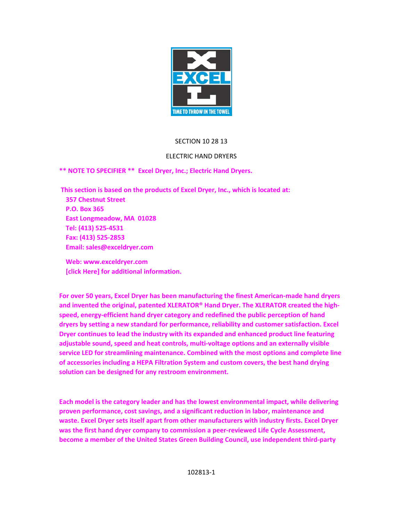

### SECTION 10 28 13

### ELECTRIC HAND DRYERS

**\*\* NOTE TO SPECIFIER \*\* Excel Dryer, Inc.; Electric Hand Dryers.** 

 **This section is based on the products of Excel Dryer, Inc., which is located at: 357 Chestnut Street P.O. Box 365 East Longmeadow, MA 01028 Tel: (413) 525‐4531 Fax: (413) 525‐2853 Email: sales@exceldryer.com** 

 **Web: www.exceldryer.com [click Here] for additional information.** 

**For over 50 years, Excel Dryer has been manufacturing the finest American‐made hand dryers and invented the original, patented XLERATOR® Hand Dryer. The XLERATOR created the high‐ speed, energy‐efficient hand dryer category and redefined the public perception of hand dryers by setting a new standard for performance, reliability and customer satisfaction. Excel Dryer continues to lead the industry with its expanded and enhanced product line featuring adjustable sound, speed and heat controls, multi‐voltage options and an externally visible service LED for streamlining maintenance. Combined with the most options and complete line of accessories including a HEPA Filtration System and custom covers, the best hand drying solution can be designed for any restroom environment.** 

**Each model is the category leader and has the lowest environmental impact, while delivering proven performance, cost savings, and a significant reduction in labor, maintenance and waste. Excel Dryer sets itself apart from other manufacturers with industry firsts. Excel Dryer was the first hand dryer company to commission a peer‐reviewed Life Cycle Assessment, become a member of the United States Green Building Council, use independent third‐party**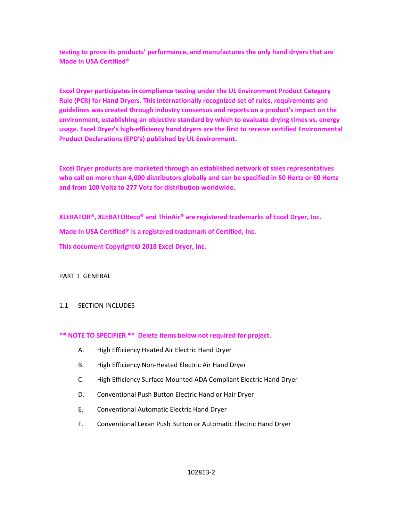**testing to prove its products' performance, and manufactures the only hand dryers that are Made In USA Certified®** 

**Excel Dryer participates in compliance testing under the UL Environment Product Category Rule (PCR) for Hand Dryers. This internationally recognized set of rules, requirements and guidelines was created through industry consensus and reports on a product's impact on the environment, establishing an objective standard by which to evaluate drying times vs. energy usage. Excel Dryer's high‐efficiency hand dryers are the first to receive certified Environmental Product Declarations (EPD's) published by UL Environment.** 

**Excel Dryer products are marketed through an established network of sales representatives who call on more than 4,000 distributors globally and can be specified in 50 Hertz or 60 Hertz and from 100 Voltz to 277 Votz for distribution worldwide.** 

**XLERATOR®, XLERATOReco® and ThinAir® are registered trademarks of Excel Dryer, Inc.** 

**Made In USA Certified® is a registered trademark of Certified, Inc.** 

**This document Copyright© 2018 Excel Dryer, Inc.** 

PART 1 GENERAL

### 1.1 SECTION INCLUDES

### **\*\* NOTE TO SPECIFIER \*\* Delete items below not required for project.**

- A. High Efficiency Heated Air Electric Hand Dryer
- B. High Efficiency Non‐Heated Electric Air Hand Dryer
- C. High Efficiency Surface Mounted ADA Compliant Electric Hand Dryer
- D. Conventional Push Button Electric Hand or Hair Dryer
- E. Conventional Automatic Electric Hand Dryer
- F. Conventional Lexan Push Button or Automatic Electric Hand Dryer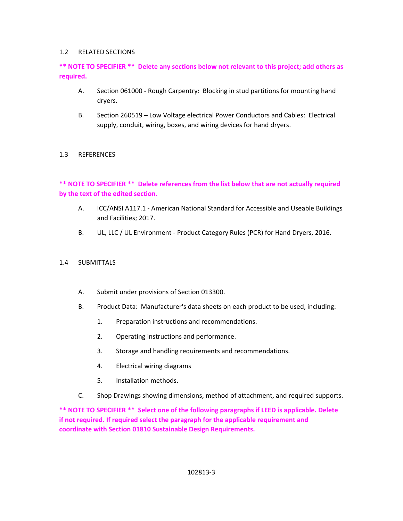### 1.2 RELATED SECTIONS

## **\*\* NOTE TO SPECIFIER \*\* Delete any sections below not relevant to this project; add others as required.**

- A. Section 061000 ‐ Rough Carpentry: Blocking in stud partitions for mounting hand dryers.
- B. Section 260519 Low Voltage electrical Power Conductors and Cables: Electrical supply, conduit, wiring, boxes, and wiring devices for hand dryers.

### 1.3 REFERENCES

## **\*\* NOTE TO SPECIFIER \*\* Delete references from the list below that are not actually required by the text of the edited section.**

- A. ICC/ANSI A117.1 ‐ American National Standard for Accessible and Useable Buildings and Facilities; 2017.
- B. UL, LLC / UL Environment ‐ Product Category Rules (PCR) for Hand Dryers, 2016.
- 1.4 SUBMITTALS
	- A. Submit under provisions of Section 013300.
	- B. Product Data: Manufacturer's data sheets on each product to be used, including:
		- 1. Preparation instructions and recommendations.
		- 2. Operating instructions and performance.
		- 3. Storage and handling requirements and recommendations.
		- 4. Electrical wiring diagrams
		- 5. Installation methods.
	- C. Shop Drawings showing dimensions, method of attachment, and required supports.

**\*\* NOTE TO SPECIFIER \*\* Select one of the following paragraphs if LEED is applicable. Delete if not required. If required select the paragraph for the applicable requirement and coordinate with Section 01810 Sustainable Design Requirements.**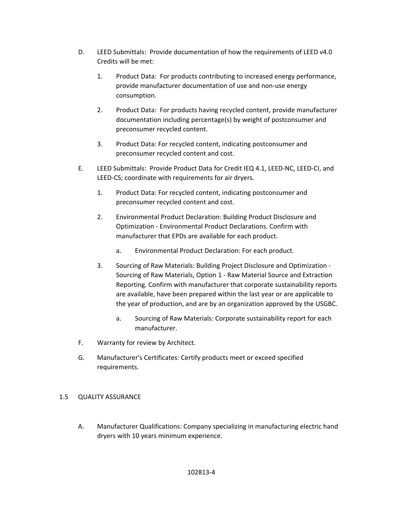- D. LEED Submittals: Provide documentation of how the requirements of LEED v4.0 Credits will be met:
	- 1. Product Data: For products contributing to increased energy performance, provide manufacturer documentation of use and non‐use energy consumption.
	- 2. Product Data: For products having recycled content, provide manufacturer documentation including percentage(s) by weight of postconsumer and preconsumer recycled content.
	- 3. Product Data: For recycled content, indicating postconsumer and preconsumer recycled content and cost.
- E. LEED Submittals: Provide Product Data for Credit IEQ 4.1, LEED‐NC, LEED‐CI, and LEED‐CS; coordinate with requirements for air dryers.
	- 1. Product Data: For recycled content, indicating postconsumer and preconsumer recycled content and cost.
	- 2. Environmental Product Declaration: Building Product Disclosure and Optimization ‐ Environmental Product Declarations. Confirm with manufacturer that EPDs are available for each product.
		- a. Environmental Product Declaration: For each product.
	- 3. Sourcing of Raw Materials: Building Project Disclosure and Optimization ‐ Sourcing of Raw Materials, Option 1 ‐ Raw Material Source and Extraction Reporting. Confirm with manufacturer that corporate sustainability reports are available, have been prepared within the last year or are applicable to the year of production, and are by an organization approved by the USGBC.
		- a. Sourcing of Raw Materials: Corporate sustainability report for each manufacturer.
- F. Warranty for review by Architect.
- G. Manufacturer's Certificates: Certify products meet or exceed specified requirements.

## 1.5 QUALITY ASSURANCE

A. Manufacturer Qualifications: Company specializing in manufacturing electric hand dryers with 10 years minimum experience.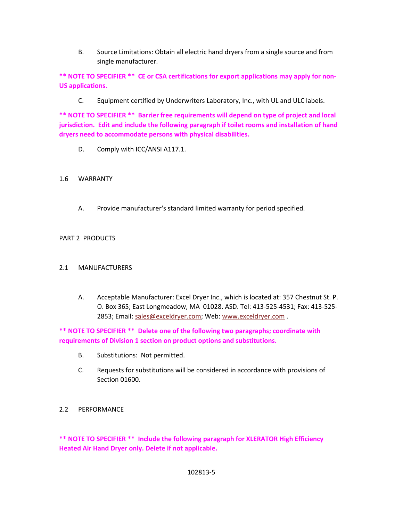B. Source Limitations: Obtain all electric hand dryers from a single source and from single manufacturer.

**\*\* NOTE TO SPECIFIER \*\* CE or CSA certifications for export applications may apply for non‐ US applications.** 

C. Equipment certified by Underwriters Laboratory, Inc., with UL and ULC labels.

**\*\* NOTE TO SPECIFIER \*\* Barrier free requirements will depend on type of project and local jurisdiction. Edit and include the following paragraph if toilet rooms and installation of hand dryers need to accommodate persons with physical disabilities.** 

D. Comply with ICC/ANSI A117.1.

### 1.6 WARRANTY

A. Provide manufacturer's standard limited warranty for period specified.

### PART 2 PRODUCTS

### 2.1 MANUFACTURERS

A. Acceptable Manufacturer: Excel Dryer Inc., which is located at: 357 Chestnut St. P. O. Box 365; East Longmeadow, MA 01028. ASD. Tel: 413‐525‐4531; Fax: 413‐525‐ 2853; Email: sales@exceldryer.com; Web: www.exceldryer.com.

**\*\* NOTE TO SPECIFIER \*\* Delete one of the following two paragraphs; coordinate with requirements of Division 1 section on product options and substitutions.** 

- B. Substitutions: Not permitted.
- C. Requests for substitutions will be considered in accordance with provisions of Section 01600.
- 2.2 PERFORMANCE

**\*\* NOTE TO SPECIFIER \*\* Include the following paragraph for XLERATOR High Efficiency Heated Air Hand Dryer only. Delete if not applicable.**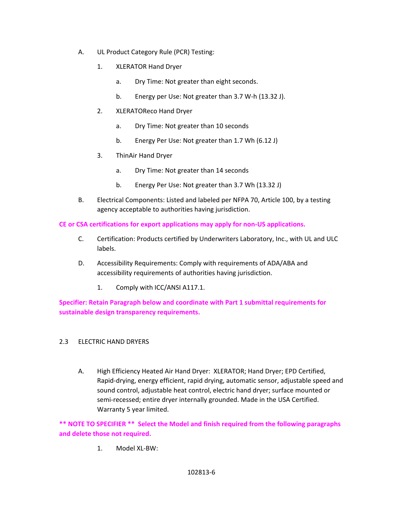- A. UL Product Category Rule (PCR) Testing:
	- 1. XLERATOR Hand Dryer
		- a. Dry Time: Not greater than eight seconds.
		- b. Energy per Use: Not greater than 3.7 W-h (13.32 J).
	- 2. XLERATOReco Hand Dryer
		- a. Dry Time: Not greater than 10 seconds
		- b. Energy Per Use: Not greater than 1.7 Wh (6.12 J)
	- 3. ThinAir Hand Dryer
		- a. Dry Time: Not greater than 14 seconds
		- b. Energy Per Use: Not greater than 3.7 Wh (13.32 J)
- B. Electrical Components: Listed and labeled per NFPA 70, Article 100, by a testing agency acceptable to authorities having jurisdiction.

# **CE or CSA certifications for export applications may apply for non‐US applications.**

- C. Certification: Products certified by Underwriters Laboratory, Inc., with UL and ULC labels.
- D. Accessibility Requirements: Comply with requirements of ADA/ABA and accessibility requirements of authorities having jurisdiction.
	- 1. Comply with ICC/ANSI A117.1.

**Specifier: Retain Paragraph below and coordinate with Part 1 submittal requirements for sustainable design transparency requirements.** 

## 2.3 ELECTRIC HAND DRYERS

A. High Efficiency Heated Air Hand Dryer: XLERATOR; Hand Dryer; EPD Certified, Rapid‐drying, energy efficient, rapid drying, automatic sensor, adjustable speed and sound control, adjustable heat control, electric hand dryer; surface mounted or semi-recessed; entire dryer internally grounded. Made in the USA Certified. Warranty 5 year limited.

**\*\* NOTE TO SPECIFIER \*\* Select the Model and finish required from the following paragraphs and delete those not required.** 

1. Model XL‐BW: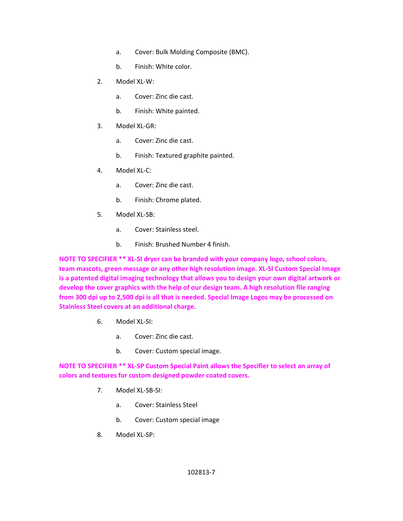- a. Cover: Bulk Molding Composite (BMC).
- b. Finish: White color.
- 2. Model XL‐W:
	- a. Cover: Zinc die cast.
	- b. Finish: White painted.
- 3. Model XL‐GR:
	- a. Cover: Zinc die cast.
	- b. Finish: Textured graphite painted.
- 4. Model XL‐C:
	- a. Cover: Zinc die cast.
	- b. Finish: Chrome plated.
- 5. Model XL‐SB:
	- a. Cover: Stainless steel.
	- b. Finish: Brushed Number 4 finish.

**NOTE TO SPECIFIER \*\* XL‐SI dryer can be branded with your company logo, school colors, team mascots, green message or any other high resolution image. XL‐SI Custom Special Image is a patented digital imaging technology that allows you to design your own digital artwork or develop the cover graphics with the help of our design team. A high resolution file ranging from 300 dpi up to 2,500 dpi is all that is needed. Special Image Logos may be processed on Stainless Steel covers at an additional charge.** 

- 6. Model XL‐SI:
	- a. Cover: Zinc die cast.
	- b. Cover: Custom special image.

**NOTE TO SPECIFIER \*\* XL‐SP Custom Special Paint allows the Specifier to select an array of colors and textures for custom designed powder coated covers.** 

- 7. Model XL‐SB‐SI:
	- a. Cover: Stainless Steel
	- b. Cover: Custom special image
- 8. Model XL‐SP: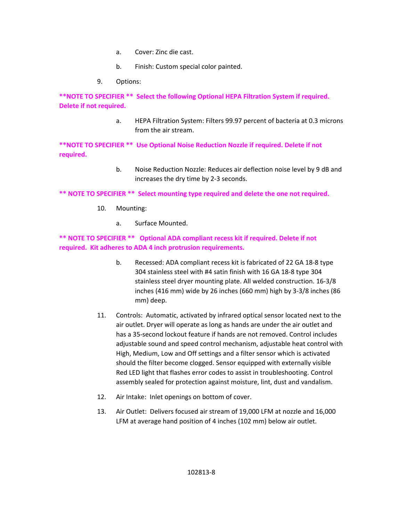- a. Cover: Zinc die cast.
- b. Finish: Custom special color painted.
- 9. Options:

**\*\*NOTE TO SPECIFIER \*\* Select the following Optional HEPA Filtration System if required. Delete if not required.** 

> a. HEPA Filtration System: Filters 99.97 percent of bacteria at 0.3 microns from the air stream.

**\*\*NOTE TO SPECIFIER \*\* Use Optional Noise Reduction Nozzle if required. Delete if not required.** 

> b. Noise Reduction Nozzle: Reduces air deflection noise level by 9 dB and increases the dry time by 2‐3 seconds.

## **\*\* NOTE TO SPECIFIER \*\* Select mounting type required and delete the one not required.**

- 10. Mounting:
	- a. Surface Mounted.

## **\*\* NOTE TO SPECIFIER \*\* Optional ADA compliant recess kit if required. Delete if not required. Kit adheres to ADA 4 inch protrusion requirements.**

- b. Recessed: ADA compliant recess kit is fabricated of 22 GA 18‐8 type 304 stainless steel with #4 satin finish with 16 GA 18‐8 type 304 stainless steel dryer mounting plate. All welded construction. 16‐3/8 inches (416 mm) wide by 26 inches (660 mm) high by 3‐3/8 inches (86 mm) deep.
- 11. Controls: Automatic, activated by infrared optical sensor located next to the air outlet. Dryer will operate as long as hands are under the air outlet and has a 35‐second lockout feature if hands are not removed. Control includes adjustable sound and speed control mechanism, adjustable heat control with High, Medium, Low and Off settings and a filter sensor which is activated should the filter become clogged. Sensor equipped with externally visible Red LED light that flashes error codes to assist in troubleshooting. Control assembly sealed for protection against moisture, lint, dust and vandalism.
- 12. Air Intake: Inlet openings on bottom of cover.
- 13. Air Outlet: Delivers focused air stream of 19,000 LFM at nozzle and 16,000 LFM at average hand position of 4 inches (102 mm) below air outlet.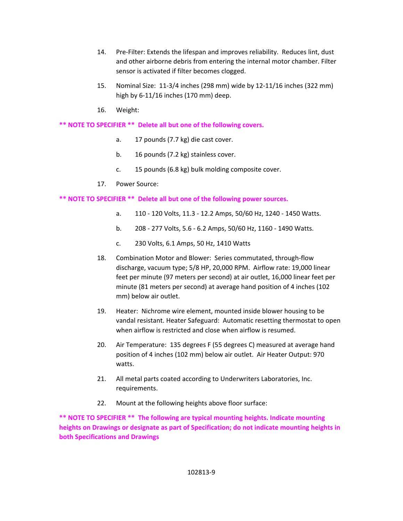- 14. Pre‐Filter: Extends the lifespan and improves reliability. Reduces lint, dust and other airborne debris from entering the internal motor chamber. Filter sensor is activated if filter becomes clogged.
- 15. Nominal Size: 11‐3/4 inches (298 mm) wide by 12‐11/16 inches (322 mm) high by 6‐11/16 inches (170 mm) deep.
- 16. Weight:

## **\*\* NOTE TO SPECIFIER \*\* Delete all but one of the following covers.**

- a. 17 pounds (7.7 kg) die cast cover.
- b. 16 pounds (7.2 kg) stainless cover.
- c. 15 pounds (6.8 kg) bulk molding composite cover.
- 17. Power Source:

# **\*\* NOTE TO SPECIFIER \*\* Delete all but one of the following power sources.**

- a. 110 ‐ 120 Volts, 11.3 ‐ 12.2 Amps, 50/60 Hz, 1240 ‐ 1450 Watts.
- b. 208 ‐ 277 Volts, 5.6 ‐ 6.2 Amps, 50/60 Hz, 1160 ‐ 1490 Watts.
- c. 230 Volts, 6.1 Amps, 50 Hz, 1410 Watts
- 18. Combination Motor and Blower: Series commutated, through-flow discharge, vacuum type; 5/8 HP, 20,000 RPM. Airflow rate: 19,000 linear feet per minute (97 meters per second) at air outlet, 16,000 linear feet per minute (81 meters per second) at average hand position of 4 inches (102 mm) below air outlet.
- 19. Heater: Nichrome wire element, mounted inside blower housing to be vandal resistant. Heater Safeguard: Automatic resetting thermostat to open when airflow is restricted and close when airflow is resumed.
- 20. Air Temperature: 135 degrees F (55 degrees C) measured at average hand position of 4 inches (102 mm) below air outlet. Air Heater Output: 970 watts.
- 21. All metal parts coated according to Underwriters Laboratories, Inc. requirements.
- 22. Mount at the following heights above floor surface:

**\*\* NOTE TO SPECIFIER \*\* The following are typical mounting heights. Indicate mounting heights on Drawings or designate as part of Specification; do not indicate mounting heights in both Specifications and Drawings**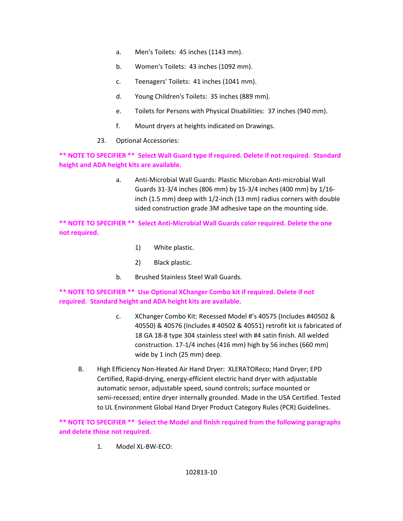- a. Men's Toilets: 45 inches (1143 mm).
- b. Women's Toilets: 43 inches (1092 mm).
- c. Teenagers' Toilets: 41 inches (1041 mm).
- d. Young Children's Toilets: 35 inches (889 mm).
- e. Toilets for Persons with Physical Disabilities: 37 inches (940 mm).
- f. Mount dryers at heights indicated on Drawings.
- 23. Optional Accessories:

**\*\* NOTE TO SPECIFIER \*\* Select Wall Guard type if required. Delete if not required. Standard height and ADA height kits are available.** 

> a. Anti‐Microbial Wall Guards: Plastic Microban Anti‐microbial Wall Guards 31‐3/4 inches (806 mm) by 15‐3/4 inches (400 mm) by 1/16‐ inch (1.5 mm) deep with 1/2‐inch (13 mm) radius corners with double sided construction grade 3M adhesive tape on the mounting side.

**\*\* NOTE TO SPECIFIER \*\* Select Anti‐Microbial Wall Guards color required. Delete the one not required.** 

- 1) White plastic.
- 2) Black plastic.
- b. Brushed Stainless Steel Wall Guards.

**\*\* NOTE TO SPECIFIER \*\* Use Optional XChanger Combo kit if required. Delete if not required. Standard height and ADA height kits are available.** 

- c. XChanger Combo Kit: Recessed Model #'s 40575 (Includes #40502 & 40550) & 40576 (Includes # 40502 & 40551) retrofit kit is fabricated of 18 GA 18‐8 type 304 stainless steel with #4 satin finish. All welded construction. 17‐1/4 inches (416 mm) high by 56 inches (660 mm) wide by 1 inch (25 mm) deep.
- B. High Efficiency Non‐Heated Air Hand Dryer: XLERATOReco; Hand Dryer; EPD Certified, Rapid‐drying, energy‐efficient electric hand dryer with adjustable automatic sensor, adjustable speed, sound controls; surface mounted or semi-recessed; entire dryer internally grounded. Made in the USA Certified. Tested to UL Environment Global Hand Dryer Product Category Rules (PCR) Guidelines.

**\*\* NOTE TO SPECIFIER \*\* Select the Model and finish required from the following paragraphs and delete those not required.** 

1. Model XL‐BW‐ECO: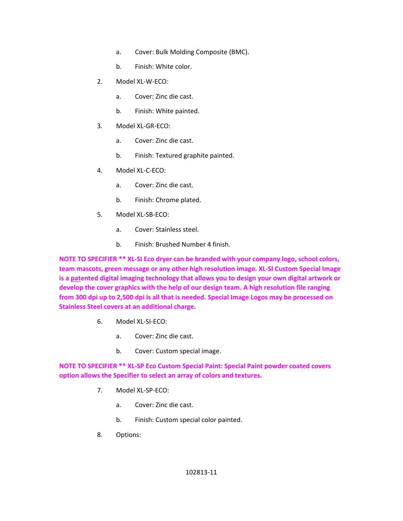- a. Cover: Bulk Molding Composite (BMC).
- b. Finish: White color.
- 2. Model XL‐W‐ECO:
	- a. Cover: Zinc die cast.
	- b. Finish: White painted.
- 3. Model XL‐GR‐ECO:
	- a. Cover: Zinc die cast.
	- b. Finish: Textured graphite painted.
- 4. Model XL‐C‐ECO:
	- a. Cover: Zinc die cast.
	- b. Finish: Chrome plated.
- 5. Model XL‐SB‐ECO:
	- a. Cover: Stainless steel.
	- b. Finish: Brushed Number 4 finish.

**NOTE TO SPECIFIER \*\* XL‐SI Eco dryer can be branded with your company logo, school colors, team mascots, green message or any other high resolution image. XL‐SI Custom Special Image is a patented digital imaging technology that allows you to design your own digital artwork or develop the cover graphics with the help of our design team. A high resolution file ranging from 300 dpi up to 2,500 dpi is all that is needed. Special Image Logos may be processed on Stainless Steel covers at an additional charge.** 

- 6. Model XL‐SI‐ECO:
	- a. Cover: Zinc die cast.
	- b. Cover: Custom special image.

**NOTE TO SPECIFIER \*\* XL‐SP Eco Custom Special Paint: Special Paint powder coated covers option allows the Specifier to select an array of colors and textures.** 

- 7. Model XL‐SP‐ECO:
	- a. Cover: Zinc die cast.
	- b. Finish: Custom special color painted.
- 8. Options: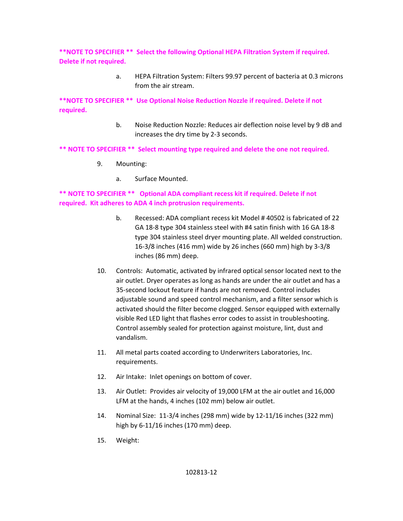**\*\*NOTE TO SPECIFIER \*\* Select the following Optional HEPA Filtration System if required. Delete if not required.** 

> a. HEPA Filtration System: Filters 99.97 percent of bacteria at 0.3 microns from the air stream.

**\*\*NOTE TO SPECIFIER \*\* Use Optional Noise Reduction Nozzle if required. Delete if not required.** 

> b. Noise Reduction Nozzle: Reduces air deflection noise level by 9 dB and increases the dry time by 2‐3 seconds.

**\*\* NOTE TO SPECIFIER \*\* Select mounting type required and delete the one not required.** 

- 9. Mounting:
	- a. Surface Mounted.

# **\*\* NOTE TO SPECIFIER \*\* Optional ADA compliant recess kit if required. Delete if not required. Kit adheres to ADA 4 inch protrusion requirements.**

- b. Recessed: ADA compliant recess kit Model # 40502 is fabricated of 22 GA 18‐8 type 304 stainless steel with #4 satin finish with 16 GA 18‐8 type 304 stainless steel dryer mounting plate. All welded construction. 16‐3/8 inches (416 mm) wide by 26 inches (660 mm) high by 3‐3/8 inches (86 mm) deep.
- 10. Controls: Automatic, activated by infrared optical sensor located next to the air outlet. Dryer operates as long as hands are under the air outlet and has a 35‐second lockout feature if hands are not removed. Control includes adjustable sound and speed control mechanism, and a filter sensor which is activated should the filter become clogged. Sensor equipped with externally visible Red LED light that flashes error codes to assist in troubleshooting. Control assembly sealed for protection against moisture, lint, dust and vandalism.
- 11. All metal parts coated according to Underwriters Laboratories, Inc. requirements.
- 12. Air Intake: Inlet openings on bottom of cover.
- 13. Air Outlet: Provides air velocity of 19,000 LFM at the air outlet and 16,000 LFM at the hands, 4 inches (102 mm) below air outlet.
- 14. Nominal Size: 11‐3/4 inches (298 mm) wide by 12‐11/16 inches (322 mm) high by 6‐11/16 inches (170 mm) deep.
- 15. Weight: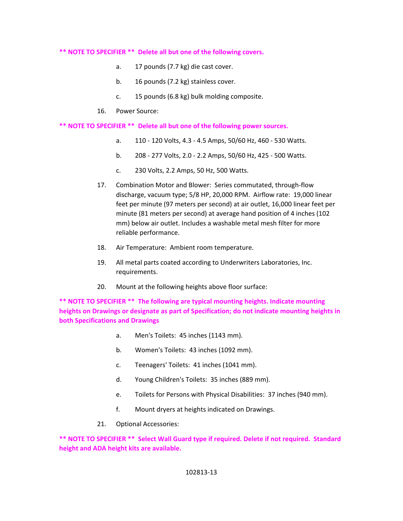#### **\*\* NOTE TO SPECIFIER \*\* Delete all but one of the following covers.**

- a. 17 pounds (7.7 kg) die cast cover.
- b. 16 pounds (7.2 kg) stainless cover.
- c. 15 pounds (6.8 kg) bulk molding composite.
- 16. Power Source:

**\*\* NOTE TO SPECIFIER \*\* Delete all but one of the following power sources.** 

- a. 110 ‐ 120 Volts, 4.3 ‐ 4.5 Amps, 50/60 Hz, 460 ‐ 530 Watts.
- b. 208 ‐ 277 Volts, 2.0 ‐ 2.2 Amps, 50/60 Hz, 425 ‐ 500 Watts.
- c. 230 Volts, 2.2 Amps, 50 Hz, 500 Watts.
- 17. Combination Motor and Blower: Series commutated, through-flow discharge, vacuum type; 5/8 HP, 20,000 RPM. Airflow rate: 19,000 linear feet per minute (97 meters per second) at air outlet, 16,000 linear feet per minute (81 meters per second) at average hand position of 4 inches (102 mm) below air outlet. Includes a washable metal mesh filter for more reliable performance.
- 18. Air Temperature: Ambient room temperature.
- 19. All metal parts coated according to Underwriters Laboratories, Inc. requirements.
- 20. Mount at the following heights above floor surface:

**\*\* NOTE TO SPECIFIER \*\* The following are typical mounting heights. Indicate mounting heights on Drawings or designate as part of Specification; do not indicate mounting heights in both Specifications and Drawings** 

- a. Men's Toilets: 45 inches (1143 mm).
- b. Women's Toilets: 43 inches (1092 mm).
- c. Teenagers' Toilets: 41 inches (1041 mm).
- d. Young Children's Toilets: 35 inches (889 mm).
- e. Toilets for Persons with Physical Disabilities: 37 inches (940 mm).
- f. Mount dryers at heights indicated on Drawings.
- 21. Optional Accessories:

**\*\* NOTE TO SPECIFIER \*\* Select Wall Guard type if required. Delete if not required. Standard height and ADA height kits are available.**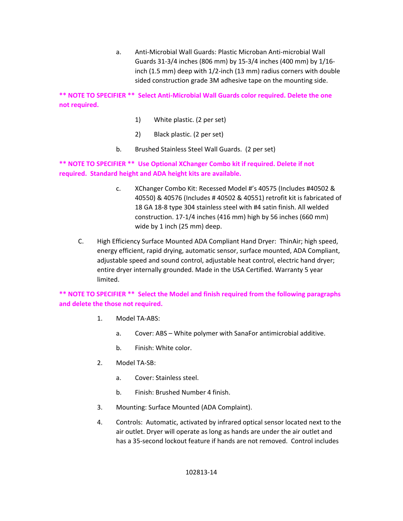a. Anti‐Microbial Wall Guards: Plastic Microban Anti‐microbial Wall Guards 31‐3/4 inches (806 mm) by 15‐3/4 inches (400 mm) by 1/16‐ inch (1.5 mm) deep with 1/2‐inch (13 mm) radius corners with double sided construction grade 3M adhesive tape on the mounting side.

**\*\* NOTE TO SPECIFIER \*\* Select Anti‐Microbial Wall Guards color required. Delete the one not required.** 

- 1) White plastic. (2 per set)
- 2) Black plastic. (2 per set)
- b. Brushed Stainless Steel Wall Guards. (2 per set)

**\*\* NOTE TO SPECIFIER \*\* Use Optional XChanger Combo kit if required. Delete if not required. Standard height and ADA height kits are available.** 

- c. XChanger Combo Kit: Recessed Model #'s 40575 (Includes #40502 & 40550) & 40576 (Includes # 40502 & 40551) retrofit kit is fabricated of 18 GA 18‐8 type 304 stainless steel with #4 satin finish. All welded construction. 17‐1/4 inches (416 mm) high by 56 inches (660 mm) wide by 1 inch (25 mm) deep.
- C. High Efficiency Surface Mounted ADA Compliant Hand Dryer: ThinAir; high speed, energy efficient, rapid drying, automatic sensor, surface mounted, ADA Compliant, adjustable speed and sound control, adjustable heat control, electric hand dryer; entire dryer internally grounded. Made in the USA Certified. Warranty 5 year limited.

**\*\* NOTE TO SPECIFIER \*\* Select the Model and finish required from the following paragraphs and delete the those not required.** 

- 1. Model TA‐ABS:
	- a. Cover: ABS White polymer with SanaFor antimicrobial additive.
	- b. Finish: White color.
- 2. Model TA‐SB:
	- a. Cover: Stainless steel.
	- b. Finish: Brushed Number 4 finish.
- 3. Mounting: Surface Mounted (ADA Complaint).
- 4. Controls: Automatic, activated by infrared optical sensor located next to the air outlet. Dryer will operate as long as hands are under the air outlet and has a 35‐second lockout feature if hands are not removed. Control includes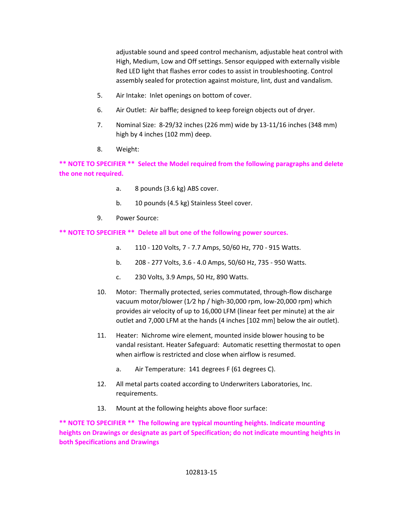adjustable sound and speed control mechanism, adjustable heat control with High, Medium, Low and Off settings. Sensor equipped with externally visible Red LED light that flashes error codes to assist in troubleshooting. Control assembly sealed for protection against moisture, lint, dust and vandalism.

- 5. Air Intake: Inlet openings on bottom of cover.
- 6. Air Outlet: Air baffle; designed to keep foreign objects out of dryer.
- 7. Nominal Size: 8‐29/32 inches (226 mm) wide by 13‐11/16 inches (348 mm) high by 4 inches (102 mm) deep.
- 8. Weight:

**\*\* NOTE TO SPECIFIER \*\* Select the Model required from the following paragraphs and delete the one not required.** 

- a. 8 pounds (3.6 kg) ABS cover.
- b. 10 pounds (4.5 kg) Stainless Steel cover.
- 9. Power Source:

**\*\* NOTE TO SPECIFIER \*\* Delete all but one of the following power sources.** 

- a. 110 ‐ 120 Volts, 7 ‐ 7.7 Amps, 50/60 Hz, 770 ‐ 915 Watts.
- b. 208 ‐ 277 Volts, 3.6 ‐ 4.0 Amps, 50/60 Hz, 735 ‐ 950 Watts.
- c. 230 Volts, 3.9 Amps, 50 Hz, 890 Watts.
- 10. Motor: Thermally protected, series commutated, through-flow discharge vacuum motor/blower (1/2 hp / high-30,000 rpm, low-20,000 rpm) which provides air velocity of up to 16,000 LFM (linear feet per minute) at the air outlet and 7,000 LFM at the hands (4 inches [102 mm] below the air outlet).
- 11. Heater: Nichrome wire element, mounted inside blower housing to be vandal resistant. Heater Safeguard: Automatic resetting thermostat to open when airflow is restricted and close when airflow is resumed.
	- a. Air Temperature: 141 degrees F (61 degrees C).
- 12. All metal parts coated according to Underwriters Laboratories, Inc. requirements.
- 13. Mount at the following heights above floor surface:

**\*\* NOTE TO SPECIFIER \*\* The following are typical mounting heights. Indicate mounting heights on Drawings or designate as part of Specification; do not indicate mounting heights in both Specifications and Drawings**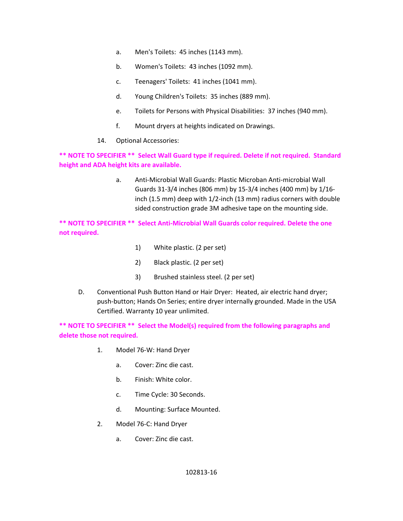- a. Men's Toilets: 45 inches (1143 mm).
- b. Women's Toilets: 43 inches (1092 mm).
- c. Teenagers' Toilets: 41 inches (1041 mm).
- d. Young Children's Toilets: 35 inches (889 mm).
- e. Toilets for Persons with Physical Disabilities: 37 inches (940 mm).
- f. Mount dryers at heights indicated on Drawings.
- 14. Optional Accessories:

**\*\* NOTE TO SPECIFIER \*\* Select Wall Guard type if required. Delete if not required. Standard height and ADA height kits are available.** 

> a. Anti‐Microbial Wall Guards: Plastic Microban Anti‐microbial Wall Guards 31‐3/4 inches (806 mm) by 15‐3/4 inches (400 mm) by 1/16‐ inch (1.5 mm) deep with 1/2‐inch (13 mm) radius corners with double sided construction grade 3M adhesive tape on the mounting side.

**\*\* NOTE TO SPECIFIER \*\* Select Anti‐Microbial Wall Guards color required. Delete the one not required.** 

- 1) White plastic. (2 per set)
- 2) Black plastic. (2 per set)
- 3) Brushed stainless steel. (2 per set)
- D. Conventional Push Button Hand or Hair Dryer: Heated, air electric hand dryer; push‐button; Hands On Series; entire dryer internally grounded. Made in the USA Certified. Warranty 10 year unlimited.

**\*\* NOTE TO SPECIFIER \*\* Select the Model(s) required from the following paragraphs and delete those not required.** 

- 1. Model 76‐W: Hand Dryer
	- a. Cover: Zinc die cast.
	- b. Finish: White color.
	- c. Time Cycle: 30 Seconds.
	- d. Mounting: Surface Mounted.
- 2. Model 76‐C: Hand Dryer
	- a. Cover: Zinc die cast.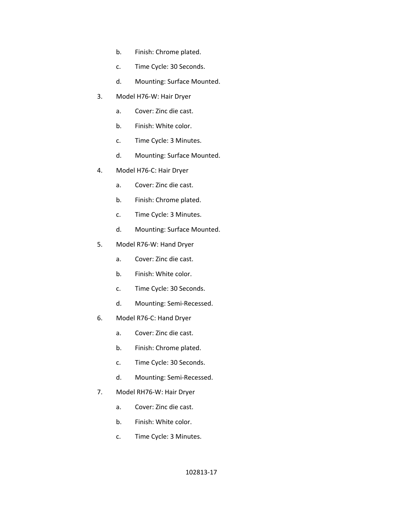- b. Finish: Chrome plated.
- c. Time Cycle: 30 Seconds.
- d. Mounting: Surface Mounted.
- 3. Model H76‐W: Hair Dryer
	- a. Cover: Zinc die cast.
	- b. Finish: White color.
	- c. Time Cycle: 3 Minutes.
	- d. Mounting: Surface Mounted.
- 4. Model H76‐C: Hair Dryer
	- a. Cover: Zinc die cast.
	- b. Finish: Chrome plated.
	- c. Time Cycle: 3 Minutes.
	- d. Mounting: Surface Mounted.
- 5. Model R76‐W: Hand Dryer
	- a. Cover: Zinc die cast.
	- b. Finish: White color.
	- c. Time Cycle: 30 Seconds.
	- d. Mounting: Semi‐Recessed.
- 6. Model R76‐C: Hand Dryer
	- a. Cover: Zinc die cast.
	- b. Finish: Chrome plated.
	- c. Time Cycle: 30 Seconds.
	- d. Mounting: Semi‐Recessed.
- 7. Model RH76‐W: Hair Dryer
	- a. Cover: Zinc die cast.
	- b. Finish: White color.
	- c. Time Cycle: 3 Minutes.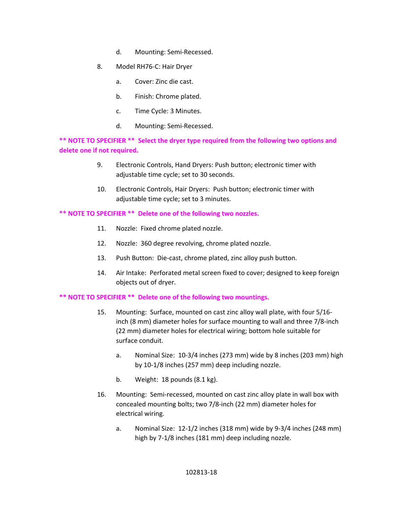- d. Mounting: Semi‐Recessed.
- 8. Model RH76‐C: Hair Dryer
	- a. Cover: Zinc die cast.
	- b. Finish: Chrome plated.
	- c. Time Cycle: 3 Minutes.
	- d. Mounting: Semi‐Recessed.

**\*\* NOTE TO SPECIFIER \*\* Select the dryer type required from the following two options and delete one if not required.** 

- 9. Electronic Controls, Hand Dryers: Push button; electronic timer with adjustable time cycle; set to 30 seconds.
- 10. Electronic Controls, Hair Dryers: Push button; electronic timer with adjustable time cycle; set to 3 minutes.

### **\*\* NOTE TO SPECIFIER \*\* Delete one of the following two nozzles.**

- 11. Nozzle: Fixed chrome plated nozzle.
- 12. Nozzle: 360 degree revolving, chrome plated nozzle.
- 13. Push Button: Die‐cast, chrome plated, zinc alloy push button.
- 14. Air Intake: Perforated metal screen fixed to cover; designed to keep foreign objects out of dryer.

### **\*\* NOTE TO SPECIFIER \*\* Delete one of the following two mountings.**

- 15. Mounting: Surface, mounted on cast zinc alloy wall plate, with four 5/16‐ inch (8 mm) diameter holes for surface mounting to wall and three 7/8‐inch (22 mm) diameter holes for electrical wiring; bottom hole suitable for surface conduit.
	- a. Nominal Size: 10‐3/4 inches (273 mm) wide by 8 inches (203 mm) high by 10‐1/8 inches (257 mm) deep including nozzle.
	- b. Weight: 18 pounds (8.1 kg).
- 16. Mounting: Semi-recessed, mounted on cast zinc alloy plate in wall box with concealed mounting bolts; two 7/8‐inch (22 mm) diameter holes for electrical wiring.
	- a. Nominal Size: 12‐1/2 inches (318 mm) wide by 9‐3/4 inches (248 mm) high by 7-1/8 inches (181 mm) deep including nozzle.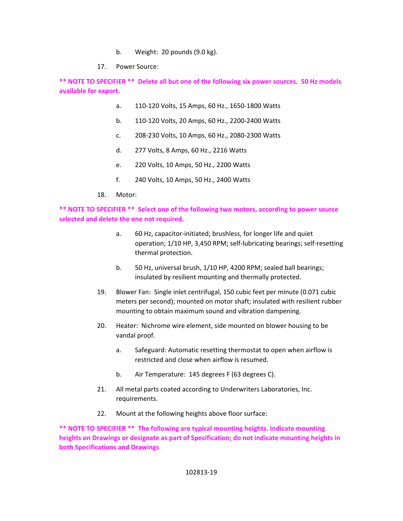- b. Weight: 20 pounds (9.0 kg).
- 17. Power Source:

**\*\* NOTE TO SPECIFIER \*\* Delete all but one of the following six power sources. 50 Hz models available for export.** 

- a. 110‐120 Volts, 15 Amps, 60 Hz., 1650‐1800 Watts
- b. 110‐120 Volts, 20 Amps, 60 Hz., 2200‐2400 Watts
- c. 208‐230 Volts, 10 Amps, 60 Hz., 2080‐2300 Watts
- d. 277 Volts, 8 Amps, 60 Hz., 2216 Watts
- e. 220 Volts, 10 Amps, 50 Hz., 2200 Watts
- f. 240 Volts, 10 Amps, 50 Hz., 2400 Watts
- 18. Motor:

**\*\* NOTE TO SPECIFIER \*\* Select one of the following two motors, according to power source selected and delete the one not required.** 

- a. 60 Hz, capacitor‐initiated; brushless, for longer life and quiet operation; 1/10 HP, 3,450 RPM; self‐lubricating bearings; self‐resetting thermal protection.
- b. 50 Hz, universal brush, 1/10 HP, 4200 RPM; sealed ball bearings; insulated by resilient mounting and thermally protected.
- 19. Blower Fan: Single inlet centrifugal, 150 cubic feet per minute (0.071 cubic meters per second); mounted on motor shaft; insulated with resilient rubber mounting to obtain maximum sound and vibration dampening.
- 20. Heater: Nichrome wire element, side mounted on blower housing to be vandal proof.
	- a. Safeguard: Automatic resetting thermostat to open when airflow is restricted and close when airflow is resumed.
	- b. Air Temperature: 145 degrees F (63 degrees C).
- 21. All metal parts coated according to Underwriters Laboratories, Inc. requirements.
- 22. Mount at the following heights above floor surface:

**\*\* NOTE TO SPECIFIER \*\* The following are typical mounting heights. Indicate mounting heights on Drawings or designate as part of Specification; do not indicate mounting heights in both Specifications and Drawings**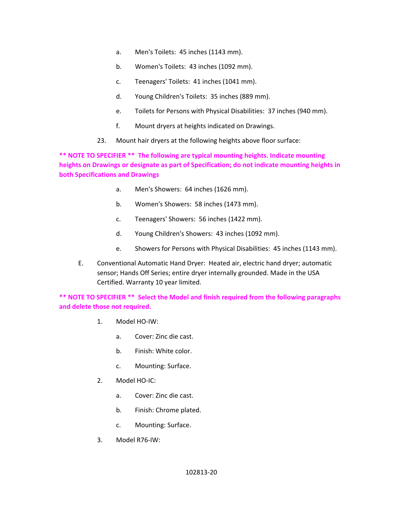- a. Men's Toilets: 45 inches (1143 mm).
- b. Women's Toilets: 43 inches (1092 mm).
- c. Teenagers' Toilets: 41 inches (1041 mm).
- d. Young Children's Toilets: 35 inches (889 mm).
- e. Toilets for Persons with Physical Disabilities: 37 inches (940 mm).
- f. Mount dryers at heights indicated on Drawings.
- 23. Mount hair dryers at the following heights above floor surface:

**\*\* NOTE TO SPECIFIER \*\* The following are typical mounting heights. Indicate mounting heights on Drawings or designate as part of Specification; do not indicate mounting heights in both Specifications and Drawings** 

- a. Men's Showers: 64 inches (1626 mm).
- b. Women's Showers: 58 inches (1473 mm).
- c. Teenagers' Showers: 56 inches (1422 mm).
- d. Young Children's Showers: 43 inches (1092 mm).
- e. Showers for Persons with Physical Disabilities: 45 inches (1143 mm).
- E. Conventional Automatic Hand Dryer: Heated air, electric hand dryer; automatic sensor; Hands Off Series; entire dryer internally grounded. Made in the USA Certified. Warranty 10 year limited.

**\*\* NOTE TO SPECIFIER \*\* Select the Model and finish required from the following paragraphs and delete those not required.** 

- 1. Model HO‐IW:
	- a. Cover: Zinc die cast.
	- b. Finish: White color.
	- c. Mounting: Surface.
- 2. Model HO‐IC:
	- a. Cover: Zinc die cast.
	- b. Finish: Chrome plated.
	- c. Mounting: Surface.
- 3. Model R76‐IW: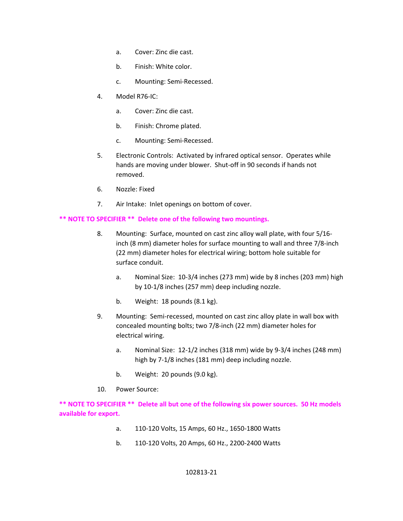- a. Cover: Zinc die cast.
- b. Finish: White color.
- c. Mounting: Semi‐Recessed.
- 4. Model R76‐IC:
	- a. Cover: Zinc die cast.
	- b. Finish: Chrome plated.
	- c. Mounting: Semi‐Recessed.
- 5. Electronic Controls: Activated by infrared optical sensor. Operates while hands are moving under blower. Shut-off in 90 seconds if hands not removed.
- 6. Nozzle: Fixed
- 7. Air Intake: Inlet openings on bottom of cover.

### **\*\* NOTE TO SPECIFIER \*\* Delete one of the following two mountings.**

- 8. Mounting: Surface, mounted on cast zinc alloy wall plate, with four 5/16‐ inch (8 mm) diameter holes for surface mounting to wall and three 7/8‐inch (22 mm) diameter holes for electrical wiring; bottom hole suitable for surface conduit.
	- a. Nominal Size: 10‐3/4 inches (273 mm) wide by 8 inches (203 mm) high by 10‐1/8 inches (257 mm) deep including nozzle.
	- b. Weight: 18 pounds (8.1 kg).
- 9. Mounting: Semi-recessed, mounted on cast zinc alloy plate in wall box with concealed mounting bolts; two 7/8‐inch (22 mm) diameter holes for electrical wiring.
	- a. Nominal Size: 12‐1/2 inches (318 mm) wide by 9‐3/4 inches (248 mm) high by 7-1/8 inches (181 mm) deep including nozzle.
	- b. Weight: 20 pounds (9.0 kg).
- 10. Power Source:

**\*\* NOTE TO SPECIFIER \*\* Delete all but one of the following six power sources. 50 Hz models available for export.** 

- a. 110‐120 Volts, 15 Amps, 60 Hz., 1650‐1800 Watts
- b. 110‐120 Volts, 20 Amps, 60 Hz., 2200‐2400 Watts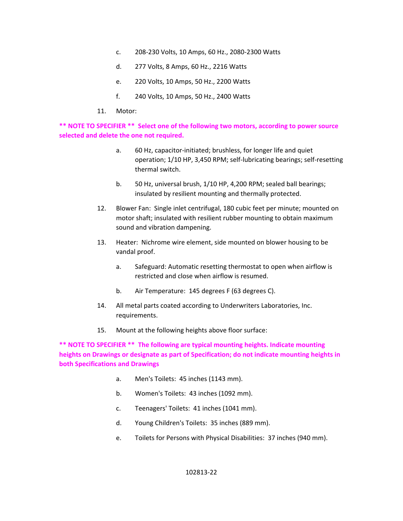- c. 208‐230 Volts, 10 Amps, 60 Hz., 2080‐2300 Watts
- d. 277 Volts, 8 Amps, 60 Hz., 2216 Watts
- e. 220 Volts, 10 Amps, 50 Hz., 2200 Watts
- f. 240 Volts, 10 Amps, 50 Hz., 2400 Watts
- 11. Motor:

**\*\* NOTE TO SPECIFIER \*\* Select one of the following two motors, according to power source selected and delete the one not required.** 

- a. 60 Hz, capacitor‐initiated; brushless, for longer life and quiet operation; 1/10 HP, 3,450 RPM; self‐lubricating bearings; self‐resetting thermal switch.
- b. 50 Hz, universal brush, 1/10 HP, 4,200 RPM; sealed ball bearings; insulated by resilient mounting and thermally protected.
- 12. Blower Fan: Single inlet centrifugal, 180 cubic feet per minute; mounted on motor shaft; insulated with resilient rubber mounting to obtain maximum sound and vibration dampening.
- 13. Heater: Nichrome wire element, side mounted on blower housing to be vandal proof.
	- a. Safeguard: Automatic resetting thermostat to open when airflow is restricted and close when airflow is resumed.
	- b. Air Temperature: 145 degrees F (63 degrees C).
- 14. All metal parts coated according to Underwriters Laboratories, Inc. requirements.
- 15. Mount at the following heights above floor surface:

**\*\* NOTE TO SPECIFIER \*\* The following are typical mounting heights. Indicate mounting heights on Drawings or designate as part of Specification; do not indicate mounting heights in both Specifications and Drawings** 

- a. Men's Toilets: 45 inches (1143 mm).
- b. Women's Toilets: 43 inches (1092 mm).
- c. Teenagers' Toilets: 41 inches (1041 mm).
- d. Young Children's Toilets: 35 inches (889 mm).
- e. Toilets for Persons with Physical Disabilities: 37 inches (940 mm).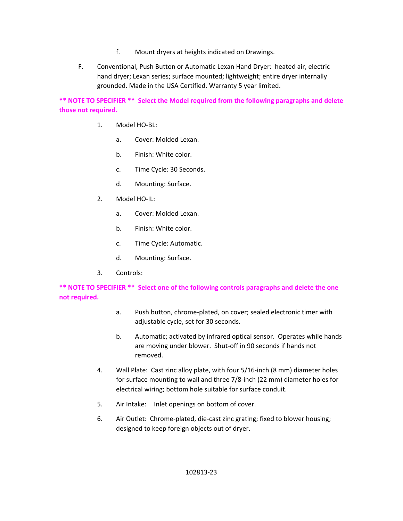- f. Mount dryers at heights indicated on Drawings.
- F. Conventional, Push Button or Automatic Lexan Hand Dryer: heated air, electric hand dryer; Lexan series; surface mounted; lightweight; entire dryer internally grounded. Made in the USA Certified. Warranty 5 year limited.

**\*\* NOTE TO SPECIFIER \*\* Select the Model required from the following paragraphs and delete those not required.** 

- 1. Model HO‐BL:
	- a. Cover: Molded Lexan.
	- b. Finish: White color.
	- c. Time Cycle: 30 Seconds.
	- d. Mounting: Surface.
- 2. Model HO‐IL:
	- a. Cover: Molded Lexan.
	- b. Finish: White color.
	- c. Time Cycle: Automatic.
	- d. Mounting: Surface.
- 3. Controls:

# **\*\* NOTE TO SPECIFIER \*\* Select one of the following controls paragraphs and delete the one not required.**

- a. Push button, chrome‐plated, on cover; sealed electronic timer with adjustable cycle, set for 30 seconds.
- b. Automatic; activated by infrared optical sensor. Operates while hands are moving under blower. Shut‐off in 90 seconds if hands not removed.
- 4. Wall Plate: Cast zinc alloy plate, with four 5/16‐inch (8 mm) diameter holes for surface mounting to wall and three 7/8‐inch (22 mm) diameter holes for electrical wiring; bottom hole suitable for surface conduit.
- 5. Air Intake: Inlet openings on bottom of cover.
- 6. Air Outlet: Chrome‐plated, die‐cast zinc grating; fixed to blower housing; designed to keep foreign objects out of dryer.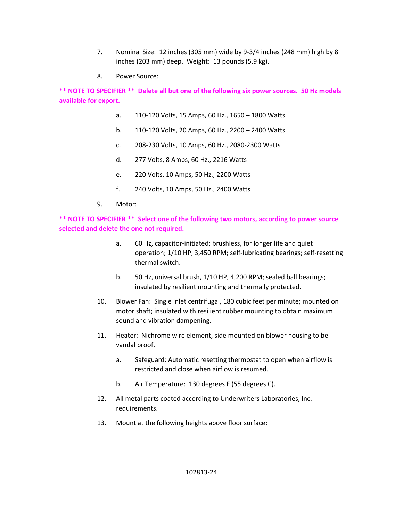- 7. Nominal Size: 12 inches (305 mm) wide by 9‐3/4 inches (248 mm) high by 8 inches (203 mm) deep. Weight: 13 pounds (5.9 kg).
- 8. Power Source:

**\*\* NOTE TO SPECIFIER \*\* Delete all but one of the following six power sources. 50 Hz models available for export.** 

- a. 110‐120 Volts, 15 Amps, 60 Hz., 1650 1800 Watts
- b. 110‐120 Volts, 20 Amps, 60 Hz., 2200 2400 Watts
- c. 208‐230 Volts, 10 Amps, 60 Hz., 2080‐2300 Watts
- d. 277 Volts, 8 Amps, 60 Hz., 2216 Watts
- e. 220 Volts, 10 Amps, 50 Hz., 2200 Watts
- f. 240 Volts, 10 Amps, 50 Hz., 2400 Watts
- 9. Motor:

**\*\* NOTE TO SPECIFIER \*\* Select one of the following two motors, according to power source selected and delete the one not required.** 

- a. 60 Hz, capacitor‐initiated; brushless, for longer life and quiet operation; 1/10 HP, 3,450 RPM; self‐lubricating bearings; self‐resetting thermal switch.
- b. 50 Hz, universal brush, 1/10 HP, 4,200 RPM; sealed ball bearings; insulated by resilient mounting and thermally protected.
- 10. Blower Fan: Single inlet centrifugal, 180 cubic feet per minute; mounted on motor shaft; insulated with resilient rubber mounting to obtain maximum sound and vibration dampening.
- 11. Heater: Nichrome wire element, side mounted on blower housing to be vandal proof.
	- a. Safeguard: Automatic resetting thermostat to open when airflow is restricted and close when airflow is resumed.
	- b. Air Temperature: 130 degrees F (55 degrees C).
- 12. All metal parts coated according to Underwriters Laboratories, Inc. requirements.
- 13. Mount at the following heights above floor surface: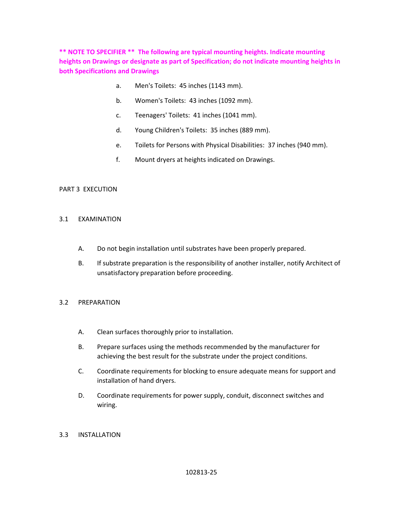**\*\* NOTE TO SPECIFIER \*\* The following are typical mounting heights. Indicate mounting heights on Drawings or designate as part of Specification; do not indicate mounting heights in both Specifications and Drawings** 

- a. Men's Toilets: 45 inches (1143 mm).
- b. Women's Toilets: 43 inches (1092 mm).
- c. Teenagers' Toilets: 41 inches (1041 mm).
- d. Young Children's Toilets: 35 inches (889 mm).
- e. Toilets for Persons with Physical Disabilities: 37 inches (940 mm).
- f. Mount dryers at heights indicated on Drawings.

### PART 3 EXECUTION

#### 3.1 EXAMINATION

- A. Do not begin installation until substrates have been properly prepared.
- B. If substrate preparation is the responsibility of another installer, notify Architect of unsatisfactory preparation before proceeding.

### 3.2 PREPARATION

- A. Clean surfaces thoroughly prior to installation.
- B. Prepare surfaces using the methods recommended by the manufacturer for achieving the best result for the substrate under the project conditions.
- C. Coordinate requirements for blocking to ensure adequate means for support and installation of hand dryers.
- D. Coordinate requirements for power supply, conduit, disconnect switches and wiring.

### 3.3 INSTALLATION